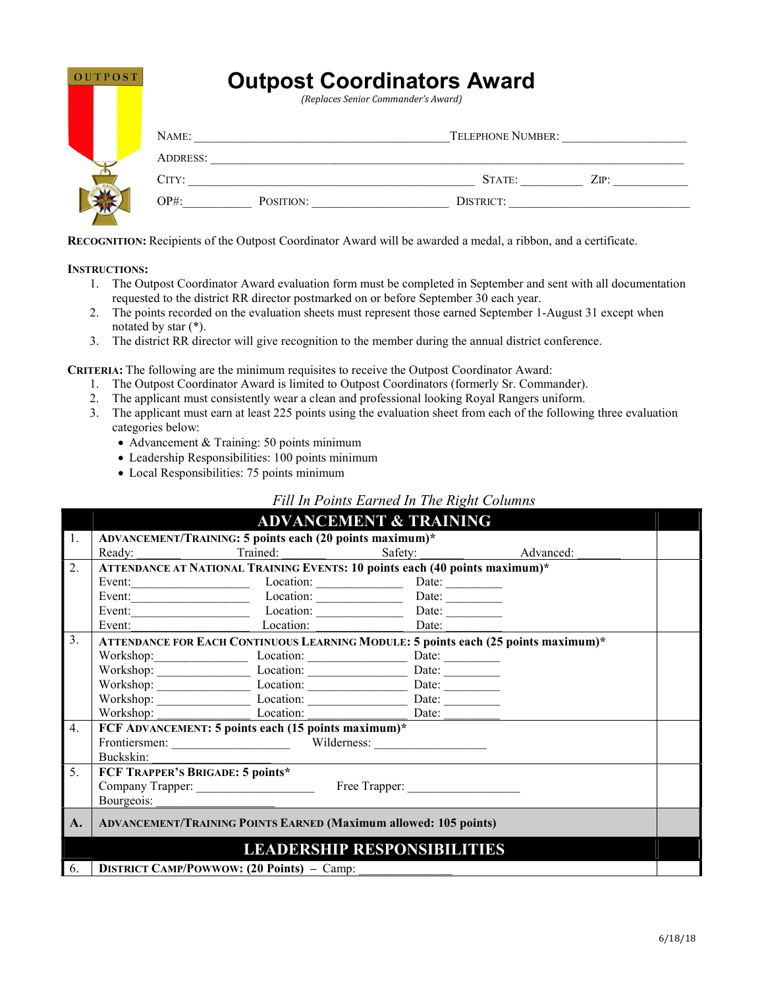| <b>OUTPOST</b> | <b>Outpost Coordinators Award</b><br>(Replaces Senior Commander's Award) |           |                          |      |  |
|----------------|--------------------------------------------------------------------------|-----------|--------------------------|------|--|
|                | NAME:<br><b>ADDRESS:</b>                                                 |           | <b>TELEPHONE NUMBER:</b> |      |  |
|                | CITY:                                                                    |           | STATE:                   | ZIP: |  |
|                | $OP#$ :                                                                  | POSITION: | DISTRICT:                |      |  |

RECOGNITION: Recipients of the Outpost Coordinator Award will be awarded a medal, a ribbon, and a certificate.

INSTRUCTIONS:

- 1. The Outpost Coordinator Award evaluation form must be completed in September and sent with all documentation requested to the district RR director postmarked on or before September 30 each year.
- 2. The points recorded on the evaluation sheets must represent those earned September 1-August 31 except when notated by star (\*).
- 3. The district RR director will give recognition to the member during the annual district conference.

CRITERIA: The following are the minimum requisites to receive the Outpost Coordinator Award:

- 1. The Outpost Coordinator Award is limited to Outpost Coordinators (formerly Sr. Commander).
- 2. The applicant must consistently wear a clean and professional looking Royal Rangers uniform.
- 3. The applicant must earn at least 225 points using the evaluation sheet from each of the following three evaluation categories below:
	- Advancement & Training: 50 points minimum
	- Leadership Responsibilities: 100 points minimum
	- Local Responsibilities: 75 points minimum

## Fill In Points Earned In The Right Columns

|    | <b>ADVANCEMENT &amp; TRAINING</b>                                                  |                                                     |       |  |  |
|----|------------------------------------------------------------------------------------|-----------------------------------------------------|-------|--|--|
| 1. | ADVANCEMENT/TRAINING: 5 points each (20 points maximum)*                           |                                                     |       |  |  |
|    | Ready:                                                                             | Trained: Safety: Advanced:                          |       |  |  |
| 2. | ATTENDANCE AT NATIONAL TRAINING EVENTS: 10 points each (40 points maximum)*        |                                                     |       |  |  |
|    |                                                                                    |                                                     |       |  |  |
|    |                                                                                    | Event: Location: Date: Date: Date: Date:            |       |  |  |
|    |                                                                                    | Event: Location: Location: Date: Date:              |       |  |  |
|    | Event:                                                                             | Location: Date:                                     |       |  |  |
| 3. | ATTENDANCE FOR EACH CONTINUOUS LEARNING MODULE: 5 points each (25 points maximum)* |                                                     |       |  |  |
|    |                                                                                    |                                                     |       |  |  |
|    |                                                                                    | Workshop: Location: Location: Date: Date:           |       |  |  |
|    |                                                                                    | Workshop: Location: Location: Date: Date:           |       |  |  |
|    |                                                                                    | Workshop: Location: Location: Date: Date:           |       |  |  |
|    |                                                                                    | Workshop: Location: Location:                       | Date: |  |  |
| 4. |                                                                                    | FCF ADVANCEMENT: 5 points each (15 points maximum)* |       |  |  |
|    | Frontiersmen: Wilderness: Wilderness:                                              |                                                     |       |  |  |
|    | Buckskin:                                                                          |                                                     |       |  |  |
| 5. | FCF TRAPPER'S BRIGADE: 5 points*                                                   |                                                     |       |  |  |
|    | Company Trapper: Free Trapper: Free Trapper:                                       |                                                     |       |  |  |
|    | Bourgeois:                                                                         |                                                     |       |  |  |
| A. | <b>ADVANCEMENT/TRAINING POINTS EARNED (Maximum allowed: 105 points)</b>            |                                                     |       |  |  |
|    | <b>LEADERSHIP RESPONSIBILITIES</b>                                                 |                                                     |       |  |  |
| 6. | <b>DISTRICT CAMP/POWWOW: (20 Points) - Camp:</b>                                   |                                                     |       |  |  |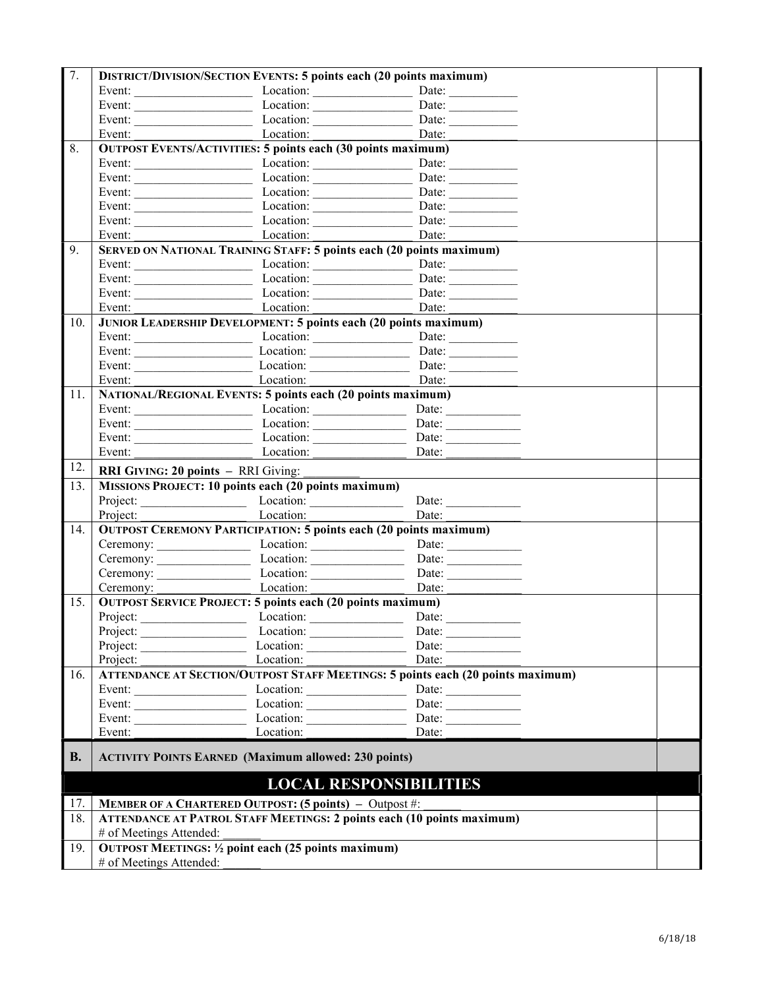| 7.        |                                                                                 | <b>DISTRICT/DIVISION/SECTION EVENTS: 5 points each (20 points maximum)</b>  |                                                                                        |  |
|-----------|---------------------------------------------------------------------------------|-----------------------------------------------------------------------------|----------------------------------------------------------------------------------------|--|
|           | Event:                                                                          |                                                                             |                                                                                        |  |
|           |                                                                                 |                                                                             |                                                                                        |  |
|           |                                                                                 |                                                                             |                                                                                        |  |
|           |                                                                                 | Event: Location: Location:                                                  | Date:                                                                                  |  |
| 8.        | <b>OUTPOST EVENTS/ACTIVITIES: 5 points each (30 points maximum)</b>             |                                                                             |                                                                                        |  |
|           |                                                                                 |                                                                             |                                                                                        |  |
|           |                                                                                 |                                                                             |                                                                                        |  |
|           |                                                                                 |                                                                             |                                                                                        |  |
|           |                                                                                 | Event: Location: Location: Date: Date:                                      |                                                                                        |  |
|           |                                                                                 |                                                                             |                                                                                        |  |
|           |                                                                                 | Event: Location: Location:                                                  | Date:                                                                                  |  |
| 9.        |                                                                                 | <b>SERVED ON NATIONAL TRAINING STAFF: 5 points each (20 points maximum)</b> |                                                                                        |  |
|           |                                                                                 |                                                                             |                                                                                        |  |
|           |                                                                                 |                                                                             |                                                                                        |  |
|           |                                                                                 |                                                                             |                                                                                        |  |
|           |                                                                                 | Event: Location: Date: Date:                                                |                                                                                        |  |
| 10.       |                                                                                 | <b>JUNIOR LEADERSHIP DEVELOPMENT: 5 points each (20 points maximum)</b>     |                                                                                        |  |
|           |                                                                                 |                                                                             |                                                                                        |  |
|           |                                                                                 | Event: Location: Location: Date: Date:                                      |                                                                                        |  |
|           |                                                                                 | Event: Location: Location: Date: Date:                                      |                                                                                        |  |
|           |                                                                                 | Event: Location: Location:                                                  | Date:                                                                                  |  |
| 11.       |                                                                                 | NATIONAL/REGIONAL EVENTS: 5 points each (20 points maximum)                 |                                                                                        |  |
|           |                                                                                 |                                                                             |                                                                                        |  |
|           |                                                                                 | Event: Location:                                                            | Date: $\qquad \qquad$                                                                  |  |
|           |                                                                                 |                                                                             |                                                                                        |  |
|           |                                                                                 | Event: Location:                                                            | Date: $\qquad \qquad$                                                                  |  |
| 12.       |                                                                                 | <b>RRI GIVING: 20 points - RRI Giving:</b>                                  |                                                                                        |  |
| 13.       |                                                                                 | MISSIONS PROJECT: 10 points each (20 points maximum)                        |                                                                                        |  |
|           |                                                                                 |                                                                             |                                                                                        |  |
|           |                                                                                 | Project: Location:                                                          | Date:                                                                                  |  |
| 14.       |                                                                                 | <b>OUTPOST CEREMONY PARTICIPATION: 5 points each (20 points maximum)</b>    |                                                                                        |  |
|           |                                                                                 | Ceremony: Location: Location: Date: Date:                                   |                                                                                        |  |
|           |                                                                                 | Ceremony: Location: Location:                                               | Date:                                                                                  |  |
|           |                                                                                 |                                                                             |                                                                                        |  |
|           |                                                                                 | Ceremony: Location:                                                         | Date:                                                                                  |  |
| 15.       |                                                                                 | <b>OUTPOST SERVICE PROJECT: 5 points each (20 points maximum)</b>           |                                                                                        |  |
|           |                                                                                 | Project: Location: Location: Date: Date:                                    |                                                                                        |  |
|           | Project:                                                                        | Location:                                                                   | Date: $\qquad \qquad$                                                                  |  |
|           | Project:                                                                        |                                                                             | Date: $\qquad \qquad$                                                                  |  |
|           | Project:                                                                        | Location:                                                                   | Date:                                                                                  |  |
| 16.       |                                                                                 |                                                                             | <b>ATTENDANCE AT SECTION/OUTPOST STAFF MEETINGS: 5 points each (20 points maximum)</b> |  |
|           |                                                                                 |                                                                             | Date:                                                                                  |  |
|           |                                                                                 |                                                                             | Date: $\qquad \qquad$                                                                  |  |
|           | Event:                                                                          | Location:                                                                   | Date:<br>Date:                                                                         |  |
|           |                                                                                 |                                                                             |                                                                                        |  |
| <b>B.</b> | <b>ACTIVITY POINTS EARNED (Maximum allowed: 230 points)</b>                     |                                                                             |                                                                                        |  |
|           | <b>LOCAL RESPONSIBILITIES</b>                                                   |                                                                             |                                                                                        |  |
| 17.       | <b>MEMBER OF A CHARTERED OUTPOST: (5 points)</b> - Outpost #:                   |                                                                             |                                                                                        |  |
| 18.       | <b>ATTENDANCE AT PATROL STAFF MEETINGS: 2 points each (10 points maximum)</b>   |                                                                             |                                                                                        |  |
|           | # of Meetings Attended:                                                         |                                                                             |                                                                                        |  |
| 19.       | OUTPOST MEETINGS: 1/2 point each (25 points maximum)<br># of Meetings Attended: |                                                                             |                                                                                        |  |